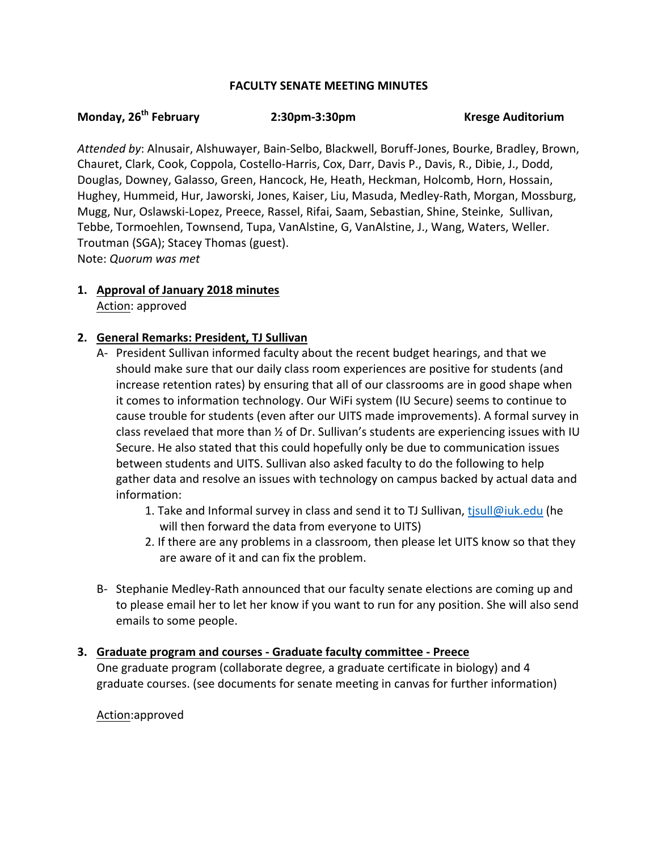### **FACULTY SENATE MEETING MINUTES**

#### **Monday, 26th February 2:30pm-3:30pm Kresge Auditorium**

Attended by: Alnusair, Alshuwayer, Bain-Selbo, Blackwell, Boruff-Jones, Bourke, Bradley, Brown, Chauret, Clark, Cook, Coppola, Costello-Harris, Cox, Darr, Davis P., Davis, R., Dibie, J., Dodd, Douglas, Downey, Galasso, Green, Hancock, He, Heath, Heckman, Holcomb, Horn, Hossain, Hughey, Hummeid, Hur, Jaworski, Jones, Kaiser, Liu, Masuda, Medley-Rath, Morgan, Mossburg, Mugg, Nur, Oslawski-Lopez, Preece, Rassel, Rifai, Saam, Sebastian, Shine, Steinke, Sullivan, Tebbe, Tormoehlen, Townsend, Tupa, VanAlstine, G, VanAlstine, J., Wang, Waters, Weller. Troutman (SGA); Stacey Thomas (guest). Note: *Quorum was met*

**1. Approval of January 2018 minutes** Action: approved

### **2. General Remarks: President, TJ Sullivan**

- A- President Sullivan informed faculty about the recent budget hearings, and that we should make sure that our daily class room experiences are positive for students (and increase retention rates) by ensuring that all of our classrooms are in good shape when it comes to information technology. Our WiFi system (IU Secure) seems to continue to cause trouble for students (even after our UITS made improvements). A formal survey in class revelaed that more than 1/2 of Dr. Sullivan's students are experiencing issues with IU Secure. He also stated that this could hopefully only be due to communication issues between students and UITS. Sullivan also asked faculty to do the following to help gather data and resolve an issues with technology on campus backed by actual data and information:
	- 1. Take and Informal survey in class and send it to TJ Sullivan, tisull@iuk.edu (he will then forward the data from everyone to UITS)
	- 2. If there are any problems in a classroom, then please let UITS know so that they are aware of it and can fix the problem.
- B- Stephanie Medley-Rath announced that our faculty senate elections are coming up and to please email her to let her know if you want to run for any position. She will also send emails to some people.

### **3. Graduate program and courses - Graduate faculty committee - Preece**

One graduate program (collaborate degree, a graduate certificate in biology) and 4 graduate courses. (see documents for senate meeting in canvas for further information)

### Action:approved